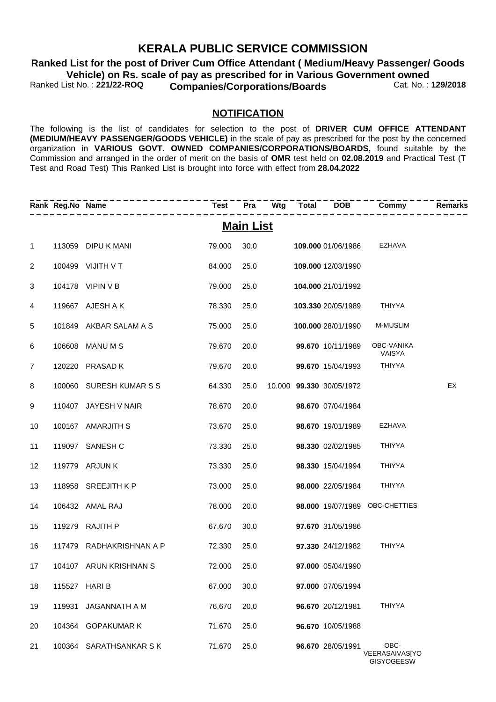### **KERALA PUBLIC SERVICE COMMISSION**

Ranked List No.: 221/22-ROQ **Companies/Corporations/Boards Cat. No.: 129/2018 Ranked List for the post of Driver Cum Office Attendant ( Medium/Heavy Passenger/ Goods Vehicle) on Rs. scale of pay as prescribed for in Various Government owned<br>Ranked List No.: 221/22-ROQ Companies/Corporations/Boards Covernment Cat. No.: 129/2018** 

#### **NOTIFICATION**

The following is the list of candidates for selection to the post of **DRIVER CUM OFFICE ATTENDANT (MEDIUM/HEAVY PASSENGER/GOODS VEHICLE)** in the scale of pay as prescribed for the post by the concerned organization in **VARIOUS GOVT. OWNED COMPANIES/CORPORATIONS/BOARDS,** found suitable by the Commission and arranged in the order of merit on the basis of **OMR** test held on **02.08.2019** and Practical Test (T Test and Road Test) This Ranked List is brought into force with effect from **28.04.2022**

|                | Rank Reg.No Name |                          | Test Pra Wtg Total DOB |                  |  |                           | Commy                                       | Remarks |
|----------------|------------------|--------------------------|------------------------|------------------|--|---------------------------|---------------------------------------------|---------|
|                |                  |                          |                        | <b>Main List</b> |  |                           |                                             |         |
| $\mathbf 1$    |                  | 113059 DIPU K MANI       | 79.000                 | 30.0             |  | <b>109.000</b> 01/06/1986 | EZHAVA                                      |         |
| 2              |                  | 100499 VIJITH V T        | 84.000                 | 25.0             |  | 109.000 12/03/1990        |                                             |         |
| 3              |                  | 104178 VIPIN V B         | 79.000                 | 25.0             |  | 104.000 21/01/1992        |                                             |         |
| 4              |                  | 119667 AJESH A K         | 78.330                 | 25.0             |  | 103.330 20/05/1989        | THIYYA                                      |         |
| 5              |                  | 101849 AKBAR SALAM A S   | 75.000                 | 25.0             |  | 100.000 28/01/1990        | M-MUSLIM                                    |         |
| 6              |                  | 106608 MANU M S          | 79.670                 | 20.0             |  | 99.670 10/11/1989         | OBC-VANIKA<br>VAISYA                        |         |
| $\overline{7}$ |                  | 120220 PRASAD K          | 79.670                 | 20.0             |  | 99.670 15/04/1993         | <b>THIYYA</b>                               |         |
| 8              |                  | 100060 SURESH KUMAR S S  | 64.330                 | 25.0             |  | 10.000 99.330 30/05/1972  |                                             | EX      |
| 9              |                  | 110407 JAYESH V NAIR     | 78.670                 | 20.0             |  | 98.670 07/04/1984         |                                             |         |
| 10             |                  | 100167 AMARJITH S        | 73.670                 | 25.0             |  | 98.670 19/01/1989         | <b>EZHAVA</b>                               |         |
| 11             |                  | 119097 SANESH C          | 73.330                 | 25.0             |  | 98.330 02/02/1985         | <b>THIYYA</b>                               |         |
| 12             |                  | 119779 ARJUN K           | 73.330                 | 25.0             |  | 98.330 15/04/1994         | <b>THIYYA</b>                               |         |
| 13             |                  | 118958 SREEJITH K P      | 73.000                 | 25.0             |  | 98.000 22/05/1984         | <b>THIYYA</b>                               |         |
| 14             |                  | 106432 AMAL RAJ          | 78.000                 | 20.0             |  |                           | 98.000 19/07/1989 OBC-CHETTIES              |         |
| 15             |                  | 119279 RAJITH P          | 67.670                 | 30.0             |  | 97.670 31/05/1986         |                                             |         |
| 16             |                  | 117479 RADHAKRISHNAN A P | 72.330                 | 25.0             |  | 97.330 24/12/1982         | <b>THIYYA</b>                               |         |
| 17             |                  | 104107 ARUN KRISHNAN S   | 72.000                 | 25.0             |  | 97.000 05/04/1990         |                                             |         |
| 18             |                  | 115527 HARI B            | 67.000                 | 30.0             |  | 97.000 07/05/1994         |                                             |         |
| 19             | 119931           | JAGANNATH A M            | 76.670                 | 20.0             |  | 96.670 20/12/1981         | <b>THIYYA</b>                               |         |
| 20             | 104364           | <b>GOPAKUMAR K</b>       | 71.670                 | 25.0             |  | 96.670 10/05/1988         |                                             |         |
| 21             |                  | 100364 SARATHSANKAR SK   | 71.670                 | 25.0             |  | 96.670 28/05/1991         | OBC-<br>VEERASAIVASJYO<br><b>GISYOGEESW</b> |         |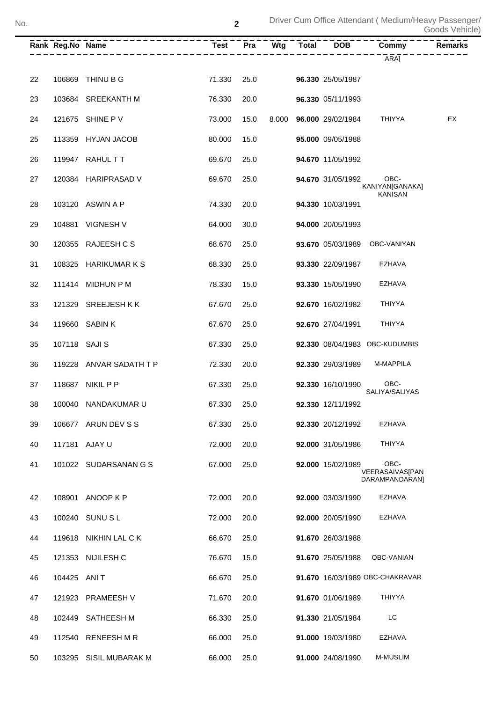|    | Rank Reg.No Name | .<br>-----------------  |        | $\bar{P}$ ra <sup>--</sup> |       | $\overline{\text{Wtg}}$ $\overline{\text{Total}}$ $\overline{\text{DOB}}$ $\overline{\text{O}}$ $\overline{\text{O}}$ $\overline{\text{O}}$ $\overline{\text{O}}$ $\overline{\text{O}}$ $\overline{\text{O}}$ $\overline{\text{O}}$ $\overline{\text{O}}$ $\overline{\text{O}}$ $\overline{\text{O}}$ $\overline{\text{O}}$ $\overline{\text{O}}$ $\overline{\text{O}}$ $\overline{\text{O}}$ $\overline{\text{O}}$ $\overline{\text{O}}$ $\overline{\text{O}}$ | <b>Commy</b>                              | <b>Remarks</b> |
|----|------------------|-------------------------|--------|----------------------------|-------|-----------------------------------------------------------------------------------------------------------------------------------------------------------------------------------------------------------------------------------------------------------------------------------------------------------------------------------------------------------------------------------------------------------------------------------------------------------------|-------------------------------------------|----------------|
|    |                  |                         |        |                            |       |                                                                                                                                                                                                                                                                                                                                                                                                                                                                 | ARAJ                                      |                |
| 22 |                  | 106869 THINU B G        | 71.330 | 25.0                       |       | 96.330 25/05/1987                                                                                                                                                                                                                                                                                                                                                                                                                                               |                                           |                |
| 23 |                  | 103684 SREEKANTH M      | 76.330 | 20.0                       |       | 96.330 05/11/1993                                                                                                                                                                                                                                                                                                                                                                                                                                               |                                           |                |
| 24 |                  | 121675 SHINE P V        | 73.000 | 15.0                       | 8.000 | 96.000 29/02/1984                                                                                                                                                                                                                                                                                                                                                                                                                                               | THIYYA                                    | EX             |
| 25 |                  | 113359 HYJAN JACOB      | 80.000 | 15.0                       |       | 95.000 09/05/1988                                                                                                                                                                                                                                                                                                                                                                                                                                               |                                           |                |
| 26 |                  | 119947 RAHULTT          | 69.670 | 25.0                       |       | 94.670 11/05/1992                                                                                                                                                                                                                                                                                                                                                                                                                                               |                                           |                |
| 27 |                  | 120384 HARIPRASAD V     | 69.670 | 25.0                       |       | 94.670 31/05/1992                                                                                                                                                                                                                                                                                                                                                                                                                                               | OBC-<br>KANIYAN[GANAKA]                   |                |
| 28 |                  | 103120 ASWIN A P        | 74.330 | 20.0                       |       | 94.330 10/03/1991                                                                                                                                                                                                                                                                                                                                                                                                                                               | <b>KANISAN</b>                            |                |
| 29 |                  | 104881 VIGNESH V        | 64.000 | 30.0                       |       | 94.000 20/05/1993                                                                                                                                                                                                                                                                                                                                                                                                                                               |                                           |                |
| 30 |                  | 120355 RAJEESH C S      | 68.670 | 25.0                       |       |                                                                                                                                                                                                                                                                                                                                                                                                                                                                 | 93.670 05/03/1989 OBC-VANIYAN             |                |
| 31 |                  | 108325 HARIKUMARKS      | 68.330 | 25.0                       |       | 93.330 22/09/1987                                                                                                                                                                                                                                                                                                                                                                                                                                               | EZHAVA                                    |                |
| 32 |                  | 111414 MIDHUN P M       | 78.330 | 15.0                       |       | 93.330 15/05/1990                                                                                                                                                                                                                                                                                                                                                                                                                                               | <b>EZHAVA</b>                             |                |
| 33 |                  | 121329 SREEJESHKK       | 67.670 | 25.0                       |       | 92.670 16/02/1982                                                                                                                                                                                                                                                                                                                                                                                                                                               | <b>THIYYA</b>                             |                |
| 34 |                  | 119660 SABIN K          | 67.670 | 25.0                       |       | 92.670 27/04/1991                                                                                                                                                                                                                                                                                                                                                                                                                                               | <b>THIYYA</b>                             |                |
| 35 | 107118 SAJI S    |                         | 67.330 | 25.0                       |       |                                                                                                                                                                                                                                                                                                                                                                                                                                                                 | 92.330 08/04/1983 OBC-KUDUMBIS            |                |
| 36 |                  | 119228 ANVAR SADATH T P | 72.330 | 20.0                       |       | 92.330 29/03/1989                                                                                                                                                                                                                                                                                                                                                                                                                                               | M-MAPPILA                                 |                |
| 37 |                  | 118687 NIKIL P P        | 67.330 | 25.0                       |       | 92.330 16/10/1990                                                                                                                                                                                                                                                                                                                                                                                                                                               | OBC-<br>SALIYA/SALIYAS                    |                |
| 38 |                  | 100040 NANDAKUMAR U     | 67.330 | 25.0                       |       | 92.330 12/11/1992                                                                                                                                                                                                                                                                                                                                                                                                                                               |                                           |                |
| 39 |                  | 106677 ARUN DEV S S     | 67.330 | 25.0                       |       | 92.330 20/12/1992                                                                                                                                                                                                                                                                                                                                                                                                                                               | EZHAVA                                    |                |
| 40 |                  | 117181 AJAY U           | 72.000 | 20.0                       |       | 92.000 31/05/1986                                                                                                                                                                                                                                                                                                                                                                                                                                               | <b>THIYYA</b>                             |                |
| 41 |                  | 101022 SUDARSANAN G S   | 67.000 | 25.0                       |       | 92.000 15/02/1989                                                                                                                                                                                                                                                                                                                                                                                                                                               | OBC-<br>VEERASAIVAS[PAN<br>DARAMPANDARAN] |                |
| 42 |                  | 108901 ANOOP K P        | 72.000 | 20.0                       |       | 92.000 03/03/1990                                                                                                                                                                                                                                                                                                                                                                                                                                               | <b>EZHAVA</b>                             |                |
| 43 |                  | 100240 SUNU S L         | 72.000 | 20.0                       |       | 92.000 20/05/1990                                                                                                                                                                                                                                                                                                                                                                                                                                               | EZHAVA                                    |                |
| 44 |                  | 119618 NIKHIN LAL C K   | 66.670 | 25.0                       |       | 91.670 26/03/1988                                                                                                                                                                                                                                                                                                                                                                                                                                               |                                           |                |
| 45 |                  | 121353 NIJILESH C       | 76.670 | 15.0                       |       | 91.670 25/05/1988                                                                                                                                                                                                                                                                                                                                                                                                                                               | OBC-VANIAN                                |                |
| 46 | 104425 ANIT      |                         | 66.670 | 25.0                       |       |                                                                                                                                                                                                                                                                                                                                                                                                                                                                 | 91.670 16/03/1989 OBC-CHAKRAVAR           |                |
| 47 |                  | 121923 PRAMEESH V       | 71.670 | 20.0                       |       | 91.670 01/06/1989                                                                                                                                                                                                                                                                                                                                                                                                                                               | <b>THIYYA</b>                             |                |
| 48 |                  | 102449 SATHEESH M       | 66.330 | 25.0                       |       | 91.330 21/05/1984                                                                                                                                                                                                                                                                                                                                                                                                                                               | LC                                        |                |
| 49 |                  | 112540 RENEESH M R      | 66.000 | 25.0                       |       | 91.000 19/03/1980                                                                                                                                                                                                                                                                                                                                                                                                                                               | EZHAVA                                    |                |
| 50 |                  | 103295 SISIL MUBARAK M  | 66.000 | 25.0                       |       | 91.000 24/08/1990                                                                                                                                                                                                                                                                                                                                                                                                                                               | M-MUSLIM                                  |                |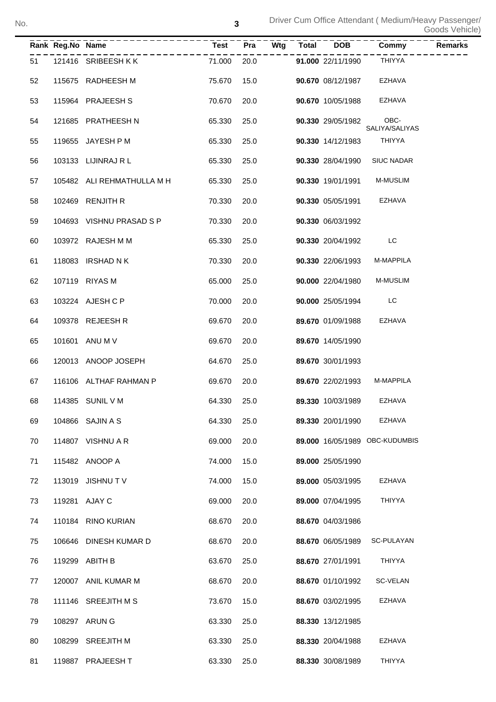|    | Rank Reg.No Name |                            | <b>Test</b> | $\overline{Pra}$<br>Wtg | <b>Total</b> | <b>DOB</b>        | Commy<br><b>Remarks</b>        |
|----|------------------|----------------------------|-------------|-------------------------|--------------|-------------------|--------------------------------|
| 51 |                  | 121416 SRIBEESHKK          | 71.000      | 20.0                    |              | 91.000 22/11/1990 | <b>THIYYA</b>                  |
| 52 |                  | 115675 RADHEESH M          | 75.670      | 15.0                    |              | 90.670 08/12/1987 | <b>EZHAVA</b>                  |
| 53 |                  | 115964 PRAJEESH S          | 70.670      | 20.0                    |              | 90.670 10/05/1988 | <b>EZHAVA</b>                  |
| 54 |                  | 121685 PRATHEESH N         | 65.330      | 25.0                    |              | 90.330 29/05/1982 | OBC-<br>SALIYA/SALIYAS         |
| 55 |                  | 119655 JAYESH P M          | 65.330      | 25.0                    |              | 90.330 14/12/1983 | THIYYA                         |
| 56 |                  | 103133 LIJINRAJ R L        | 65.330      | 25.0                    |              | 90.330 28/04/1990 | <b>SIUC NADAR</b>              |
| 57 |                  | 105482 ALI REHMATHULLA M H | 65.330      | 25.0                    |              | 90.330 19/01/1991 | M-MUSLIM                       |
| 58 |                  | 102469 RENJITH R           | 70.330      | 20.0                    |              | 90.330 05/05/1991 | EZHAVA                         |
| 59 |                  | 104693 VISHNU PRASAD S P   | 70.330      | 20.0                    |              | 90.330 06/03/1992 |                                |
| 60 |                  | 103972 RAJESH M M          | 65.330      | 25.0                    |              | 90.330 20/04/1992 | LC                             |
| 61 |                  | 118083 IRSHAD N K          | 70.330      | 20.0                    |              | 90.330 22/06/1993 | M-MAPPILA                      |
| 62 |                  | 107119 RIYAS M             | 65.000      | 25.0                    |              | 90.000 22/04/1980 | M-MUSLIM                       |
| 63 |                  | 103224 AJESH C P           | 70.000      | 20.0                    |              | 90.000 25/05/1994 | LC                             |
| 64 |                  | 109378 REJEESH R           | 69.670      | 20.0                    |              | 89.670 01/09/1988 | <b>EZHAVA</b>                  |
| 65 |                  | 101601 ANU M V             | 69.670      | 20.0                    |              | 89.670 14/05/1990 |                                |
| 66 |                  | 120013 ANOOP JOSEPH        | 64.670      | 25.0                    |              | 89.670 30/01/1993 |                                |
| 67 |                  | 116106 ALTHAF RAHMAN P     | 69.670      | 20.0                    |              | 89.670 22/02/1993 | M-MAPPILA                      |
| 68 |                  | 114385 SUNIL V M           | 64.330      | 25.0                    |              | 89.330 10/03/1989 | EZHAVA                         |
| 69 |                  | 104866 SAJIN A S           | 64.330      | 25.0                    |              | 89.330 20/01/1990 | <b>EZHAVA</b>                  |
| 70 |                  | 114807 VISHNU A R          | 69.000      | 20.0                    |              |                   | 89.000 16/05/1989 OBC-KUDUMBIS |
| 71 |                  | 115482 ANOOP A             | 74.000      | 15.0                    |              | 89.000 25/05/1990 |                                |
| 72 |                  | 113019 JISHNUT V           | 74.000      | 15.0                    |              | 89.000 05/03/1995 | <b>EZHAVA</b>                  |
| 73 |                  | 119281 AJAY C              | 69.000      | 20.0                    |              | 89.000 07/04/1995 | <b>THIYYA</b>                  |
| 74 |                  | 110184 RINO KURIAN         | 68.670      | 20.0                    |              | 88.670 04/03/1986 |                                |
| 75 |                  | 106646 DINESH KUMAR D      | 68.670      | 20.0                    |              | 88.670 06/05/1989 | SC-PULAYAN                     |
| 76 |                  | 119299 ABITH B             | 63.670      | 25.0                    |              | 88.670 27/01/1991 | THIYYA                         |
| 77 |                  | 120007 ANIL KUMAR M        | 68.670      | 20.0                    |              | 88.670 01/10/1992 | SC-VELAN                       |
| 78 |                  | 111146 SREEJITH M S        | 73.670      | 15.0                    |              | 88.670 03/02/1995 | <b>EZHAVA</b>                  |
| 79 |                  | 108297 ARUN G              | 63.330      | 25.0                    |              | 88.330 13/12/1985 |                                |
| 80 |                  | 108299 SREEJITH M          | 63.330      | 25.0                    |              | 88.330 20/04/1988 | <b>EZHAVA</b>                  |
| 81 |                  | 119887 PRAJEESH T          | 63.330      | 25.0                    |              | 88.330 30/08/1989 | THIYYA                         |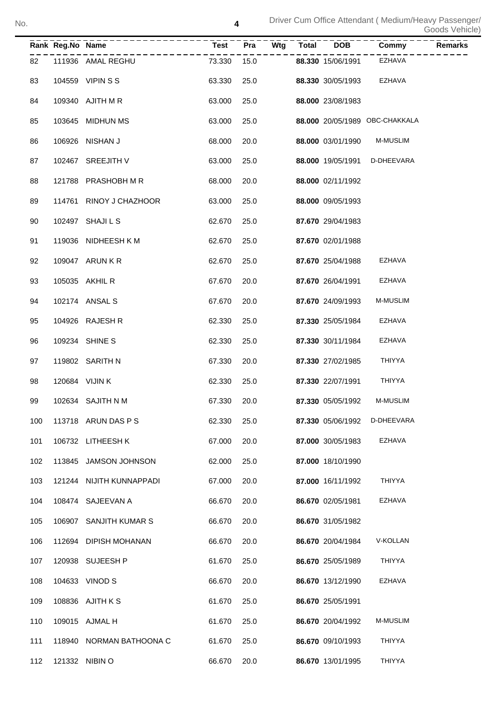|     | Rank Reg.No Name |                          | $T = - -$ |      | $\bar{P}r\bar{a}$ <sup>--</sup> Wtg <sup>--</sup> | Total | $\overline{DOB}^-$ | $\overline{\text{Commy}}$      | Remarks |
|-----|------------------|--------------------------|-----------|------|---------------------------------------------------|-------|--------------------|--------------------------------|---------|
| 82  |                  | 111936 AMAL REGHU        | 73.330    | 15.0 |                                                   |       | 88.330 15/06/1991  | EZHAVA                         |         |
| 83  |                  | 104559 VIPIN S S         | 63.330    | 25.0 |                                                   |       | 88.330 30/05/1993  | EZHAVA                         |         |
| 84  |                  | 109340 AJITH M R         | 63.000    | 25.0 |                                                   |       | 88.000 23/08/1983  |                                |         |
| 85  |                  | 103645 MIDHUN MS         | 63.000    | 25.0 |                                                   |       |                    | 88.000 20/05/1989 OBC-CHAKKALA |         |
| 86  |                  | 106926 NISHAN J          | 68.000    | 20.0 |                                                   |       | 88.000 03/01/1990  | <b>M-MUSLIM</b>                |         |
| 87  |                  | 102467 SREEJITH V        | 63.000    | 25.0 |                                                   |       | 88.000 19/05/1991  | D-DHEEVARA                     |         |
| 88  |                  | 121788 PRASHOBH M R      | 68.000    | 20.0 |                                                   |       | 88.000 02/11/1992  |                                |         |
| 89  |                  | 114761 RINOY J CHAZHOOR  | 63.000    | 25.0 |                                                   |       | 88.000 09/05/1993  |                                |         |
| 90  |                  | 102497 SHAJI L S         | 62.670    | 25.0 |                                                   |       | 87.670 29/04/1983  |                                |         |
| 91  |                  | 119036 NIDHEESH K M      | 62.670    | 25.0 |                                                   |       | 87.670 02/01/1988  |                                |         |
| 92  |                  | 109047 ARUN K R          | 62.670    | 25.0 |                                                   |       | 87.670 25/04/1988  | EZHAVA                         |         |
| 93  |                  | 105035 AKHIL R           | 67.670    | 20.0 |                                                   |       | 87.670 26/04/1991  | EZHAVA                         |         |
| 94  |                  | 102174 ANSAL S           | 67.670    | 20.0 |                                                   |       | 87.670 24/09/1993  | <b>M-MUSLIM</b>                |         |
| 95  |                  | 104926 RAJESH R          | 62.330    | 25.0 |                                                   |       | 87.330 25/05/1984  | EZHAVA                         |         |
| 96  |                  | 109234 SHINE S           | 62.330    | 25.0 |                                                   |       | 87.330 30/11/1984  | EZHAVA                         |         |
| 97  |                  | 119802 SARITH N          | 67.330    | 20.0 |                                                   |       | 87.330 27/02/1985  | <b>THIYYA</b>                  |         |
| 98  |                  | 120684 VIJIN K           | 62.330    | 25.0 |                                                   |       | 87.330 22/07/1991  | THIYYA                         |         |
| 99  |                  | 102634 SAJITH N M        | 67.330    | 20.0 |                                                   |       | 87.330 05/05/1992  | M-MUSLIM                       |         |
| 100 |                  | 113718 ARUN DAS P S      | 62.330    | 25.0 |                                                   |       | 87.330 05/06/1992  | D-DHEEVARA                     |         |
| 101 |                  | 106732 LITHEESH K        | 67.000    | 20.0 |                                                   |       | 87.000 30/05/1983  | EZHAVA                         |         |
| 102 | 113845           | <b>JAMSON JOHNSON</b>    | 62.000    | 25.0 |                                                   |       | 87.000 18/10/1990  |                                |         |
| 103 |                  | 121244 NIJITH KUNNAPPADI | 67.000    | 20.0 |                                                   |       | 87.000 16/11/1992  | <b>THIYYA</b>                  |         |
| 104 |                  | 108474 SAJEEVAN A        | 66.670    | 20.0 |                                                   |       | 86.670 02/05/1981  | <b>EZHAVA</b>                  |         |
| 105 |                  | 106907 SANJITH KUMAR S   | 66.670    | 20.0 |                                                   |       | 86.670 31/05/1982  |                                |         |
| 106 |                  | 112694 DIPISH MOHANAN    | 66.670    | 20.0 |                                                   |       | 86.670 20/04/1984  | V-KOLLAN                       |         |
| 107 |                  | 120938 SUJEESH P         | 61.670    | 25.0 |                                                   |       | 86.670 25/05/1989  | <b>THIYYA</b>                  |         |
| 108 |                  | 104633 VINOD S           | 66.670    | 20.0 |                                                   |       | 86.670 13/12/1990  | <b>EZHAVA</b>                  |         |
| 109 |                  | 108836 AJITH K S         | 61.670    | 25.0 |                                                   |       | 86.670 25/05/1991  |                                |         |
| 110 |                  | 109015 AJMAL H           | 61.670    | 25.0 |                                                   |       | 86.670 20/04/1992  | M-MUSLIM                       |         |
| 111 |                  | 118940 NORMAN BATHOONA C | 61.670    | 25.0 |                                                   |       | 86.670 09/10/1993  | <b>THIYYA</b>                  |         |
| 112 |                  | 121332 NIBIN O           | 66.670    | 20.0 |                                                   |       | 86.670 13/01/1995  | <b>THIYYA</b>                  |         |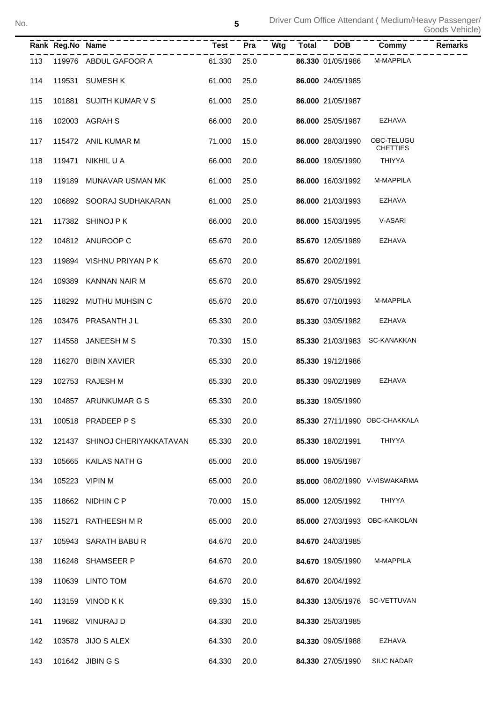|     | Rank Reg.No Name | <u>______________</u> .       | <b>Test</b> | <b>Pra</b> | Wtg | Total | -------<br>  DOB  | -------------<br>}<br>}        | <b>Remarks</b> |
|-----|------------------|-------------------------------|-------------|------------|-----|-------|-------------------|--------------------------------|----------------|
| 113 |                  | 119976 ABDUL GAFOOR A         | 61.330      | 25.0       |     |       | 86.330 01/05/1986 | M-MAPPILA                      |                |
| 114 |                  | 119531 SUMESH K               | 61.000      | 25.0       |     |       | 86.000 24/05/1985 |                                |                |
| 115 |                  | 101881 SUJITH KUMAR V S       | 61.000      | 25.0       |     |       | 86.000 21/05/1987 |                                |                |
| 116 |                  | 102003 AGRAH S                | 66.000      | 20.0       |     |       | 86.000 25/05/1987 | EZHAVA                         |                |
| 117 |                  | 115472 ANIL KUMAR M           | 71.000      | 15.0       |     |       | 86.000 28/03/1990 | OBC-TELUGU<br><b>CHETTIES</b>  |                |
| 118 |                  | 119471 NIKHIL U A             | 66.000      | 20.0       |     |       | 86.000 19/05/1990 | <b>THIYYA</b>                  |                |
| 119 |                  | 119189 MUNAVAR USMAN MK       | 61.000      | 25.0       |     |       | 86.000 16/03/1992 | M-MAPPILA                      |                |
| 120 |                  | 106892 SOORAJ SUDHAKARAN      | 61.000      | 25.0       |     |       | 86.000 21/03/1993 | EZHAVA                         |                |
| 121 |                  | 117382 SHINOJ PK              | 66.000      | 20.0       |     |       | 86.000 15/03/1995 | V-ASARI                        |                |
| 122 |                  | 104812 ANUROOP C              | 65.670      | 20.0       |     |       | 85.670 12/05/1989 | <b>EZHAVA</b>                  |                |
| 123 |                  | 119894 VISHNU PRIYAN PK       | 65.670      | 20.0       |     |       | 85.670 20/02/1991 |                                |                |
| 124 |                  | 109389 KANNAN NAIR M          | 65.670      | 20.0       |     |       | 85.670 29/05/1992 |                                |                |
| 125 |                  | 118292 MUTHU MUHSIN C         | 65.670      | 20.0       |     |       | 85.670 07/10/1993 | M-MAPPILA                      |                |
| 126 |                  | 103476 PRASANTH J L           | 65.330      | 20.0       |     |       | 85.330 03/05/1982 | <b>EZHAVA</b>                  |                |
| 127 | 114558           | JANEESH M S                   | 70.330      | 15.0       |     |       |                   | 85.330 21/03/1983 SC-KANAKKAN  |                |
| 128 |                  | 116270 BIBIN XAVIER           | 65.330      | 20.0       |     |       | 85.330 19/12/1986 |                                |                |
| 129 |                  | 102753 RAJESH M               | 65.330      | 20.0       |     |       | 85.330 09/02/1989 | EZHAVA                         |                |
| 130 |                  | 104857 ARUNKUMAR G S          | 65.330      | 20.0       |     |       | 85.330 19/05/1990 |                                |                |
| 131 |                  | 100518 PRADEEP P S            | 65.330      | 20.0       |     |       |                   | 85.330 27/11/1990 OBC-CHAKKALA |                |
| 132 |                  | 121437 SHINOJ CHERIYAKKATAVAN | 65.330      | 20.0       |     |       | 85.330 18/02/1991 | THIYYA                         |                |
| 133 |                  | 105665 KAILAS NATH G          | 65.000      | 20.0       |     |       | 85.000 19/05/1987 |                                |                |
| 134 |                  | 105223 VIPIN M                | 65.000      | 20.0       |     |       |                   | 85.000 08/02/1990 V-VISWAKARMA |                |
| 135 |                  | 118662 NIDHIN C P             | 70.000      | 15.0       |     |       | 85.000 12/05/1992 | THIYYA                         |                |
| 136 |                  | 115271 RATHEESH M R           | 65.000      | 20.0       |     |       |                   | 85.000 27/03/1993 OBC-KAIKOLAN |                |
| 137 |                  | 105943 SARATH BABUR           | 64.670      | 20.0       |     |       | 84.670 24/03/1985 |                                |                |
| 138 |                  | 116248 SHAMSEER P             | 64.670      | 20.0       |     |       | 84.670 19/05/1990 | M-MAPPILA                      |                |
| 139 |                  | 110639 LINTO TOM              | 64.670      | 20.0       |     |       | 84.670 20/04/1992 |                                |                |
| 140 |                  | 113159 VINOD K K              | 69.330      | 15.0       |     |       |                   | 84.330 13/05/1976 SC-VETTUVAN  |                |
| 141 |                  | 119682 VINURAJ D              | 64.330      | 20.0       |     |       | 84.330 25/03/1985 |                                |                |
| 142 |                  | 103578 JIJO S ALEX            | 64.330      | 20.0       |     |       | 84.330 09/05/1988 | EZHAVA                         |                |
| 143 |                  | 101642 JIBIN G S              | 64.330      | 20.0       |     |       | 84.330 27/05/1990 | <b>SIUC NADAR</b>              |                |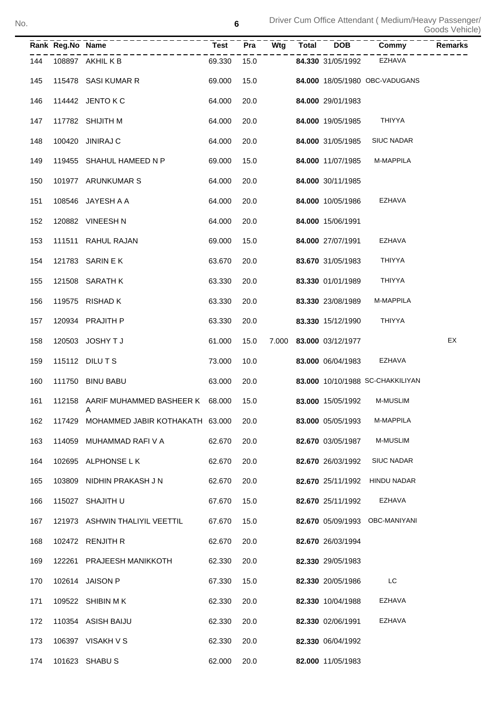Driver Cum Office Attendant ( Medium/Heavy Passenger/ Goods Vehicle) No.

|     | Rank Reg.No Name |                                            | Test   | Pra  | Wtg | Total DOB               | <b>Commy</b>                     | Remarks |
|-----|------------------|--------------------------------------------|--------|------|-----|-------------------------|----------------------------------|---------|
| 144 |                  | 108897 AKHIL K B                           | 69.330 | 15.0 |     | 84.330 31/05/1992       | EZHAVA                           |         |
| 145 |                  | 115478 SASI KUMAR R                        | 69.000 | 15.0 |     |                         | 84.000 18/05/1980 OBC-VADUGANS   |         |
| 146 |                  | 114442 JENTO K C                           | 64.000 | 20.0 |     | 84.000 29/01/1983       |                                  |         |
| 147 |                  | 117782 SHIJITH M                           | 64.000 | 20.0 |     | 84.000 19/05/1985       | <b>THIYYA</b>                    |         |
| 148 |                  | 100420 JINIRAJ C                           | 64.000 | 20.0 |     | 84.000 31/05/1985       | <b>SIUC NADAR</b>                |         |
| 149 |                  | 119455 SHAHUL HAMEED N P                   | 69.000 | 15.0 |     | 84.000 11/07/1985       | M-MAPPILA                        |         |
| 150 |                  | 101977 ARUNKUMAR S                         | 64.000 | 20.0 |     | 84.000 30/11/1985       |                                  |         |
| 151 |                  | 108546 JAYESH A A                          | 64.000 | 20.0 |     | 84.000 10/05/1986       | EZHAVA                           |         |
| 152 |                  | 120882 VINEESH N                           | 64.000 | 20.0 |     | 84.000 15/06/1991       |                                  |         |
| 153 |                  | 111511 RAHUL RAJAN                         | 69.000 | 15.0 |     | 84.000 27/07/1991       | EZHAVA                           |         |
| 154 |                  | 121783 SARIN E K                           | 63.670 | 20.0 |     | 83.670 31/05/1983       | <b>THIYYA</b>                    |         |
| 155 |                  | 121508 SARATH K                            | 63.330 | 20.0 |     | 83.330 01/01/1989       | <b>THIYYA</b>                    |         |
| 156 |                  | 119575 RISHAD K                            | 63.330 | 20.0 |     | 83.330 23/08/1989       | M-MAPPILA                        |         |
| 157 |                  | 120934 PRAJITH P                           | 63.330 | 20.0 |     | 83.330 15/12/1990       | <b>THIYYA</b>                    |         |
| 158 |                  | 120503 JOSHY T J                           | 61.000 | 15.0 |     | 7.000 83.000 03/12/1977 |                                  | EX      |
| 159 |                  | 115112 DILUTS                              | 73.000 | 10.0 |     | 83.000 06/04/1983       | EZHAVA                           |         |
| 160 |                  | 111750 BINU BABU                           | 63.000 | 20.0 |     |                         | 83.000 10/10/1988 SC-CHAKKILIYAN |         |
| 161 |                  | 112158 AARIF MUHAMMED BASHEER K 68.000     |        | 15.0 |     | 83.000 15/05/1992       | <b>M-MUSLIM</b>                  |         |
|     |                  | 162 117429 MOHAMMED JABIR KOTHAKATH 63.000 |        | 20.0 |     | 83.000 05/05/1993       | M-MAPPILA                        |         |
| 163 |                  | 114059 MUHAMMAD RAFI V A                   | 62.670 | 20.0 |     | 82.670 03/05/1987       | <b>M-MUSLIM</b>                  |         |
| 164 |                  | 102695 ALPHONSE L K                        | 62.670 | 20.0 |     | 82.670 26/03/1992       | <b>SIUC NADAR</b>                |         |
| 165 |                  | 103809 NIDHIN PRAKASH J N                  | 62.670 | 20.0 |     |                         | 82.670 25/11/1992 HINDU NADAR    |         |
| 166 |                  | 115027 SHAJITH U                           | 67.670 | 15.0 |     | 82.670 25/11/1992       | EZHAVA                           |         |
| 167 |                  | 121973 ASHWIN THALIYIL VEETTIL             | 67.670 | 15.0 |     |                         | 82.670 05/09/1993 OBC-MANIYANI   |         |
| 168 |                  | 102472 RENJITH R                           | 62.670 | 20.0 |     | 82.670 26/03/1994       |                                  |         |
| 169 |                  | 122261 PRAJEESH MANIKKOTH                  | 62.330 | 20.0 |     | 82.330 29/05/1983       |                                  |         |
| 170 |                  | 102614 JAISON P                            | 67.330 | 15.0 |     | 82.330 20/05/1986       | LC                               |         |
| 171 |                  | 109522 SHIBIN M K                          | 62.330 | 20.0 |     | 82.330 10/04/1988       | EZHAVA                           |         |
| 172 |                  | 110354 ASISH BAIJU                         | 62.330 | 20.0 |     | 82.330 02/06/1991       | EZHAVA                           |         |
| 173 |                  | 106397 VISAKH V S                          | 62.330 | 20.0 |     | 82.330 06/04/1992       |                                  |         |
| 174 |                  | 101623 SHABUS                              | 62.000 | 20.0 |     | 82.000 11/05/1983       |                                  |         |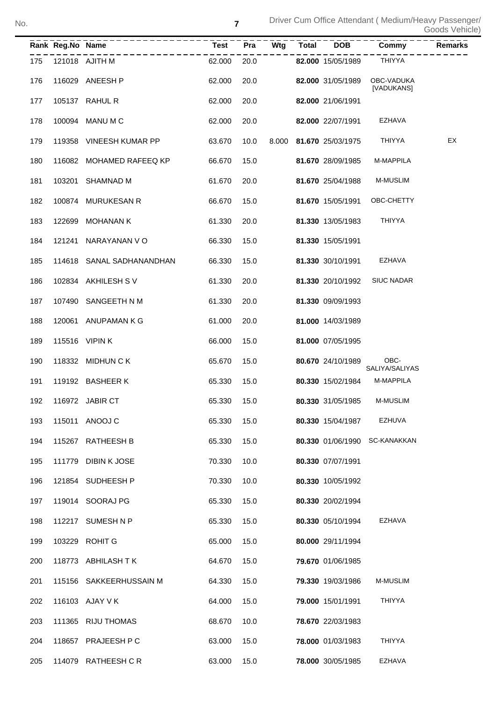|     | Rank Reg.No Name |                           | <b>Test</b> | Pra  | Wtg | <b>Total</b> | <b>DOB</b>              | Commy                    | Remarks |
|-----|------------------|---------------------------|-------------|------|-----|--------------|-------------------------|--------------------------|---------|
| 175 |                  | 121018 AJITH M            | 62.000      | 20.0 |     |              | 82.000 15/05/1989       | <b>THIYYA</b>            |         |
| 176 |                  | 116029 ANEESH P           | 62.000      | 20.0 |     |              | 82.000 31/05/1989       | OBC-VADUKA<br>[VADUKANS] |         |
| 177 |                  | 105137 RAHUL R            | 62.000      | 20.0 |     |              | 82.000 21/06/1991       |                          |         |
| 178 |                  | 100094 MANU M C           | 62.000      | 20.0 |     |              | 82.000 22/07/1991       | <b>EZHAVA</b>            |         |
| 179 |                  | 119358 VINEESH KUMAR PP   | 63.670      | 10.0 |     |              | 8.000 81.670 25/03/1975 | <b>THIYYA</b>            | EX      |
| 180 |                  | 116082 MOHAMED RAFEEQ KP  | 66.670      | 15.0 |     |              | 81.670 28/09/1985       | M-MAPPILA                |         |
| 181 | 103201           | SHAMNAD M                 | 61.670      | 20.0 |     |              | 81.670 25/04/1988       | <b>M-MUSLIM</b>          |         |
| 182 |                  | 100874 MURUKESAN R        | 66.670      | 15.0 |     |              | 81.670 15/05/1991       | OBC-CHETTY               |         |
| 183 | 122699           | MOHANAN K                 | 61.330      | 20.0 |     |              | 81.330 13/05/1983       | <b>THIYYA</b>            |         |
| 184 |                  | 121241 NARAYANAN VO       | 66.330      | 15.0 |     |              | 81.330 15/05/1991       |                          |         |
| 185 |                  | 114618 SANAL SADHANANDHAN | 66.330      | 15.0 |     |              | 81.330 30/10/1991       | <b>EZHAVA</b>            |         |
| 186 |                  | 102834 AKHILESH SV        | 61.330      | 20.0 |     |              | 81.330 20/10/1992       | <b>SIUC NADAR</b>        |         |
| 187 |                  | 107490 SANGEETH N M       | 61.330      | 20.0 |     |              | 81.330 09/09/1993       |                          |         |
| 188 |                  | 120061 ANUPAMAN K G       | 61.000      | 20.0 |     |              | 81.000 14/03/1989       |                          |         |
| 189 |                  | 115516 VIPIN K            | 66.000      | 15.0 |     |              | 81.000 07/05/1995       |                          |         |
| 190 |                  | 118332 MIDHUN C K         | 65.670      | 15.0 |     |              | 80.670 24/10/1989       | OBC-<br>SALIYA/SALIYAS   |         |
| 191 |                  | 119192 BASHEER K          | 65.330      | 15.0 |     |              | 80.330 15/02/1984       | <b>M-MAPPILA</b>         |         |
| 192 |                  | 116972 JABIR CT           | 65.330      | 15.0 |     |              | 80.330 31/05/1985       | <b>M-MUSLIM</b>          |         |
| 193 |                  | 115011 ANOOJ C            | 65.330      | 15.0 |     |              | 80.330 15/04/1987       | <b>EZHUVA</b>            |         |
| 194 | 115267           | RATHEESH B                | 65.330      | 15.0 |     |              | 80.330 01/06/1990       | <b>SC-KANAKKAN</b>       |         |
| 195 | 111779           | <b>DIBIN K JOSE</b>       | 70.330      | 10.0 |     |              | 80.330 07/07/1991       |                          |         |
| 196 | 121854           | SUDHEESH P                | 70.330      | 10.0 |     |              | 80.330 10/05/1992       |                          |         |
| 197 |                  | 119014 SOORAJ PG          | 65.330      | 15.0 |     |              | 80.330 20/02/1994       |                          |         |
| 198 | 112217           | SUMESH N P                | 65.330      | 15.0 |     |              | 80.330 05/10/1994       | EZHAVA                   |         |
| 199 |                  | 103229 ROHIT G            | 65.000      | 15.0 |     |              | 80.000 29/11/1994       |                          |         |
| 200 | 118773           | ABHILASH T K              | 64.670      | 15.0 |     |              | 79.670 01/06/1985       |                          |         |
| 201 | 115156           | SAKKEERHUSSAIN M          | 64.330      | 15.0 |     |              | 79.330 19/03/1986       | M-MUSLIM                 |         |
| 202 |                  | 116103 AJAY V K           | 64.000      | 15.0 |     |              | 79.000 15/01/1991       | <b>THIYYA</b>            |         |
| 203 | 111365           | <b>RIJU THOMAS</b>        | 68.670      | 10.0 |     |              | 78.670 22/03/1983       |                          |         |
| 204 |                  | 118657 PRAJEESH P C       | 63.000      | 15.0 |     |              | 78.000 01/03/1983       | <b>THIYYA</b>            |         |
| 205 |                  | 114079 RATHEESH CR        | 63.000      | 15.0 |     |              | 78.000 30/05/1985       | <b>EZHAVA</b>            |         |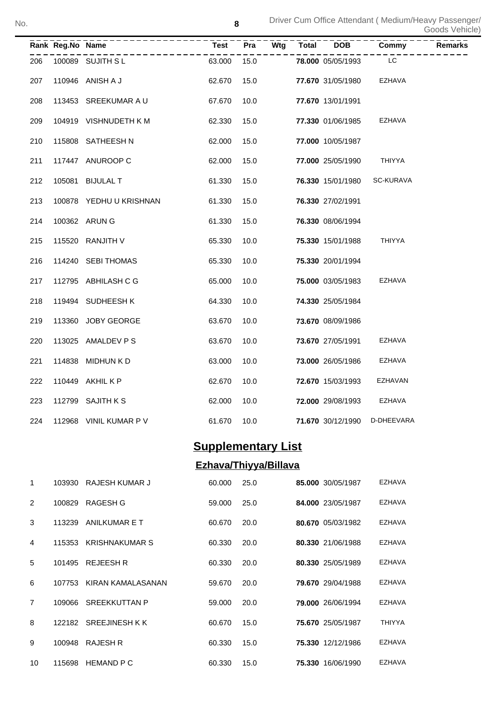|     | Rank Reg.No Name |                         | <b>Test</b> | Pra  | Wtg | <b>Total</b> | <b>DOB</b>        | Commy            | <b>Remarks</b> |
|-----|------------------|-------------------------|-------------|------|-----|--------------|-------------------|------------------|----------------|
| 206 |                  | 100089 SUJITH SL        | 63.000      | 15.0 |     |              | 78.000 05/05/1993 | LC               |                |
| 207 |                  | 110946 ANISH A J        | 62.670      | 15.0 |     |              | 77.670 31/05/1980 | <b>EZHAVA</b>    |                |
| 208 |                  | 113453 SREEKUMAR A U    | 67.670      | 10.0 |     |              | 77.670 13/01/1991 |                  |                |
| 209 |                  | 104919 VISHNUDETH KM    | 62.330      | 15.0 |     |              | 77.330 01/06/1985 | <b>EZHAVA</b>    |                |
| 210 |                  | 115808 SATHEESH N       | 62.000      | 15.0 |     |              | 77.000 10/05/1987 |                  |                |
| 211 |                  | 117447 ANUROOP C        | 62.000      | 15.0 |     |              | 77.000 25/05/1990 | THIYYA           |                |
| 212 |                  | 105081 BIJULAL T        | 61.330      | 15.0 |     |              | 76.330 15/01/1980 | <b>SC-KURAVA</b> |                |
| 213 |                  | 100878 YEDHU U KRISHNAN | 61.330      | 15.0 |     |              | 76.330 27/02/1991 |                  |                |
| 214 |                  | 100362 ARUN G           | 61.330      | 15.0 |     |              | 76.330 08/06/1994 |                  |                |
| 215 |                  | 115520 RANJITH V        | 65.330      | 10.0 |     |              | 75.330 15/01/1988 | <b>THIYYA</b>    |                |
| 216 |                  | 114240 SEBI THOMAS      | 65.330      | 10.0 |     |              | 75.330 20/01/1994 |                  |                |
| 217 |                  | 112795 ABHILASH C G     | 65.000      | 10.0 |     |              | 75.000 03/05/1983 | EZHAVA           |                |
| 218 |                  | 119494 SUDHEESH K       | 64.330      | 10.0 |     |              | 74.330 25/05/1984 |                  |                |
| 219 |                  | 113360 JOBY GEORGE      | 63.670      | 10.0 |     |              | 73.670 08/09/1986 |                  |                |
| 220 |                  | 113025 AMALDEV P S      | 63.670      | 10.0 |     |              | 73.670 27/05/1991 | EZHAVA           |                |
| 221 | 114838           | MIDHUN K D              | 63.000      | 10.0 |     |              | 73.000 26/05/1986 | <b>EZHAVA</b>    |                |
| 222 |                  | 110449 AKHIL K P        | 62.670      | 10.0 |     |              | 72.670 15/03/1993 | EZHAVAN          |                |
| 223 |                  | 112799 SAJITH K S       | 62.000      | 10.0 |     |              | 72.000 29/08/1993 | EZHAVA           |                |
| 224 |                  | 112968 VINIL KUMAR P V  | 61.670      | 10.0 |     |              | 71.670 30/12/1990 | D-DHEEVARA       |                |

# **Supplementary List**

## **Ezhava/Thiyya/Billava**

| 1              | 103930 | RAJESH KUMAR J           | 60,000 | 25.0 | 85.000 30/05/1987 | <b>EZHAVA</b> |
|----------------|--------|--------------------------|--------|------|-------------------|---------------|
| $\overline{2}$ | 100829 | RAGESH G                 | 59.000 | 25.0 | 84.000 23/05/1987 | <b>EZHAVA</b> |
| 3              | 113239 | ANILKUMAR E T            | 60.670 | 20.0 | 80.670 05/03/1982 | <b>EZHAVA</b> |
| 4              |        | 115353 KRISHNAKUMAR S    | 60.330 | 20.0 | 80.330 21/06/1988 | <b>EZHAVA</b> |
| 5              |        | 101495 REJEESH R         | 60.330 | 20.0 | 80.330 25/05/1989 | <b>EZHAVA</b> |
| 6              |        | 107753 KIRAN KAMALASANAN | 59.670 | 20.0 | 79.670 29/04/1988 | <b>EZHAVA</b> |
| $\overline{7}$ |        | 109066 SREEKKUTTAN P     | 59,000 | 20.0 | 79.000 26/06/1994 | <b>EZHAVA</b> |
| 8              |        | 122182 SREEJINESH KK     | 60.670 | 15.0 | 75.670 25/05/1987 | <b>THIYYA</b> |
| 9              | 100948 | <b>RAJESH R</b>          | 60.330 | 15.0 | 75.330 12/12/1986 | <b>EZHAVA</b> |
| 10             | 115698 | <b>HEMAND P C</b>        | 60.330 | 15.0 | 75.330 16/06/1990 | <b>EZHAVA</b> |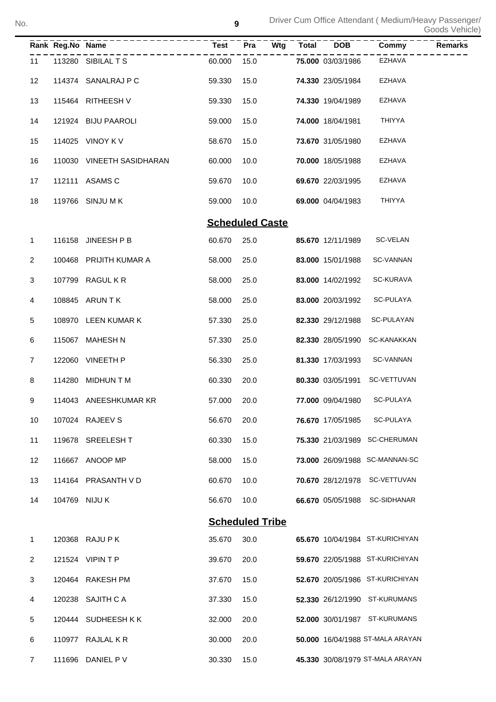|             | Rank Reg.No Name |                           | <b>Test</b> | Pra<br>Wtg             | <b>Total</b> | <b>DOB</b>        | Commy                            | <b>Remarks</b> |
|-------------|------------------|---------------------------|-------------|------------------------|--------------|-------------------|----------------------------------|----------------|
| 11          |                  | 113280 SIBILAL T S        | 60.000      | 15.0                   |              | 75.000 03/03/1986 | <b>EZHAVA</b>                    |                |
| 12          |                  | 114374 SANALRAJ P C       | 59.330      | 15.0                   |              | 74.330 23/05/1984 | EZHAVA                           |                |
| 13          |                  | 115464 RITHEESH V         | 59.330      | 15.0                   |              | 74.330 19/04/1989 | EZHAVA                           |                |
| 14          |                  | 121924 BIJU PAAROLI       | 59.000      | 15.0                   |              | 74.000 18/04/1981 | <b>THIYYA</b>                    |                |
| 15          |                  | 114025 VINOY K V          | 58.670      | 15.0                   |              | 73.670 31/05/1980 | EZHAVA                           |                |
| 16          |                  | 110030 VINEETH SASIDHARAN | 60.000      | 10.0                   |              | 70.000 18/05/1988 | EZHAVA                           |                |
| 17          |                  | 112111 ASAMS C            | 59.670      | 10.0                   |              | 69.670 22/03/1995 | EZHAVA                           |                |
| 18          |                  | 119766 SINJU M K          | 59.000      | 10.0                   |              | 69.000 04/04/1983 | <b>THIYYA</b>                    |                |
|             |                  |                           |             | <b>Scheduled Caste</b> |              |                   |                                  |                |
| 1           |                  | 116158 JINEESH P B        | 60.670      | 25.0                   |              | 85.670 12/11/1989 | SC-VELAN                         |                |
| 2           |                  | 100468 PRIJITH KUMAR A    | 58.000      | 25.0                   |              | 83.000 15/01/1988 | SC-VANNAN                        |                |
| 3           |                  | 107799 RAGUL K R          | 58.000      | 25.0                   |              | 83.000 14/02/1992 | SC-KURAVA                        |                |
| 4           |                  | 108845 ARUN T K           | 58.000      | 25.0                   |              | 83.000 20/03/1992 | SC-PULAYA                        |                |
| 5           |                  | 108970 LEEN KUMAR K       | 57.330      | 25.0                   |              | 82.330 29/12/1988 | SC-PULAYAN                       |                |
| 6           |                  | 115067 MAHESH N           | 57.330      | 25.0                   |              | 82.330 28/05/1990 | SC-KANAKKAN                      |                |
| 7           |                  | 122060 VINEETH P          | 56.330      | 25.0                   |              | 81.330 17/03/1993 | SC-VANNAN                        |                |
| 8           |                  | 114280 MIDHUN T M         | 60.330      | 20.0                   |              | 80.330 03/05/1991 | SC-VETTUVAN                      |                |
| 9           |                  | 114043 ANEESHKUMAR KR     | 57.000      | 20.0                   |              | 77.000 09/04/1980 | SC-PULAYA                        |                |
| 10          |                  | 107024 RAJEEV S           | 56.670      | 20.0                   |              | 76.670 17/05/1985 | SC-PULAYA                        |                |
| 11          |                  | 119678 SREELESH T         | 60.330      | 15.0                   |              |                   | 75.330 21/03/1989 SC-CHERUMAN    |                |
| 12          |                  | 116667 ANOOP MP           | 58.000      | 15.0                   |              |                   | 73.000 26/09/1988 SC-MANNAN-SC   |                |
| 13          |                  | 114164 PRASANTH V D       | 60.670      | 10.0                   |              |                   | 70.670 28/12/1978 SC-VETTUVAN    |                |
| 14          |                  | 104769 NIJU K             | 56.670      | 10.0                   |              |                   | 66.670 05/05/1988 SC-SIDHANAR    |                |
|             |                  |                           |             | <b>Scheduled Tribe</b> |              |                   |                                  |                |
| $\mathbf 1$ |                  | 120368 RAJU P K           | 35.670      | 30.0                   |              |                   | 65.670 10/04/1984 ST-KURICHIYAN  |                |
| 2           |                  | 121524 VIPIN T P          | 39.670      | 20.0                   |              |                   | 59.670 22/05/1988 ST-KURICHIYAN  |                |
| 3           |                  | 120464 RAKESH PM          | 37.670      | 15.0                   |              |                   | 52.670 20/05/1986 ST-KURICHIYAN  |                |
| 4           |                  | 120238 SAJITH C A         | 37.330      | 15.0                   |              |                   | 52.330 26/12/1990 ST-KURUMANS    |                |
| 5           |                  | 120444 SUDHEESH KK        | 32.000      | 20.0                   |              |                   | 52.000 30/01/1987 ST-KURUMANS    |                |
| 6           |                  | 110977 RAJLAL K R         | 30.000      | 20.0                   |              |                   | 50.000 16/04/1988 ST-MALA ARAYAN |                |
| 7           |                  | 111696 DANIEL P V         | 30.330      | 15.0                   |              |                   | 45.330 30/08/1979 ST-MALA ARAYAN |                |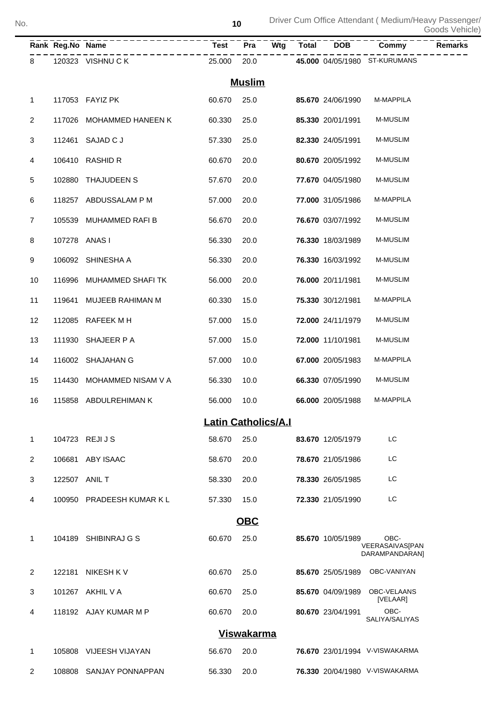|                | Rank Reg.No Name | --------------            | – – – – –<br>Test <sup>–</sup> |                   |  | $\overline{Pra}$ $\overline{Wtg}$ $\overline{Total}$ $\overline{DOB}$ | ------<br>Commy                                  | Remarks |
|----------------|------------------|---------------------------|--------------------------------|-------------------|--|-----------------------------------------------------------------------|--------------------------------------------------|---------|
| 8              |                  | 120323 VISHNU C K         | 25.000 20.0                    |                   |  |                                                                       | 45.000 04/05/1980 ST-KURUMANS                    |         |
|                |                  |                           |                                | <b>Muslim</b>     |  |                                                                       |                                                  |         |
| 1              |                  | 117053 FAYIZ PK           | 60.670                         | 25.0              |  | 85.670 24/06/1990                                                     | M-MAPPILA                                        |         |
| $\overline{c}$ |                  | 117026 MOHAMMED HANEEN K  | 60.330                         | 25.0              |  | 85.330 20/01/1991                                                     | <b>M-MUSLIM</b>                                  |         |
| 3              |                  | 112461 SAJAD C J          | 57.330                         | 25.0              |  | 82.330 24/05/1991                                                     | <b>M-MUSLIM</b>                                  |         |
| 4              |                  | 106410 RASHID R           | 60.670                         | 20.0              |  | 80.670 20/05/1992                                                     | <b>M-MUSLIM</b>                                  |         |
| 5              | 102880           | THAJUDEEN S               | 57.670                         | 20.0              |  | 77.670 04/05/1980                                                     | <b>M-MUSLIM</b>                                  |         |
| 6              |                  | 118257 ABDUSSALAM P M     | 57.000                         | 20.0              |  | 77.000 31/05/1986                                                     | M-MAPPILA                                        |         |
| $\overline{7}$ |                  | 105539 MUHAMMED RAFI B    | 56.670                         | 20.0              |  | 76.670 03/07/1992                                                     | <b>M-MUSLIM</b>                                  |         |
| 8              | 107278 ANAS I    |                           | 56.330                         | 20.0              |  | 76.330 18/03/1989                                                     | <b>M-MUSLIM</b>                                  |         |
| 9              |                  | 106092 SHINESHA A         | 56.330                         | 20.0              |  | 76.330 16/03/1992                                                     | <b>M-MUSLIM</b>                                  |         |
| 10             |                  | 116996 MUHAMMED SHAFI TK  | 56.000                         | 20.0              |  | 76.000 20/11/1981                                                     | <b>M-MUSLIM</b>                                  |         |
| 11             | 119641           | MUJEEB RAHIMAN M          | 60.330                         | 15.0              |  | 75.330 30/12/1981                                                     | M-MAPPILA                                        |         |
| 12             |                  | 112085 RAFEEK M H         | 57.000                         | 15.0              |  | 72.000 24/11/1979                                                     | <b>M-MUSLIM</b>                                  |         |
| 13             |                  | 111930 SHAJEER P A        | 57.000                         | 15.0              |  | 72.000 11/10/1981                                                     | <b>M-MUSLIM</b>                                  |         |
| 14             |                  | 116002 SHAJAHAN G         | 57.000                         | 10.0              |  | 67.000 20/05/1983                                                     | M-MAPPILA                                        |         |
| 15             |                  | 114430 MOHAMMED NISAM V A | 56.330                         | 10.0              |  | 66.330 07/05/1990                                                     | <b>M-MUSLIM</b>                                  |         |
| 16             |                  | 115858 ABDULREHIMAN K     | 56.000                         | 10.0              |  | 66.000 20/05/1988                                                     | M-MAPPILA                                        |         |
|                |                  |                           | <b>Latin Catholics/A.I</b>     |                   |  |                                                                       |                                                  |         |
| 1              |                  | 104723 REJIJS             | 58.670                         | 25.0              |  | 83.670 12/05/1979                                                     | LC                                               |         |
| 2              | 106681           | ABY ISAAC                 | 58.670                         | 20.0              |  | 78.670 21/05/1986                                                     | LC                                               |         |
| 3              | 122507 ANIL T    |                           | 58.330                         | 20.0              |  | 78.330 26/05/1985                                                     | LC                                               |         |
| 4              |                  | 100950 PRADEESH KUMAR K L | 57.330                         | 15.0              |  | 72.330 21/05/1990                                                     | LC                                               |         |
|                |                  |                           |                                | OBC               |  |                                                                       |                                                  |         |
| 1              |                  | 104189 SHIBINRAJ G S      | 60.670                         | 25.0              |  | 85.670 10/05/1989                                                     | OBC-<br><b>VEERASAIVAS[PAN</b><br>DARAMPANDARAN] |         |
| 2              | 122181           | NIKESH K V                | 60.670                         | 25.0              |  | 85.670 25/05/1989                                                     | OBC-VANIYAN                                      |         |
| 3              |                  | 101267 AKHIL V A          | 60.670                         | 25.0              |  | 85.670 04/09/1989                                                     | OBC-VELAANS<br>[VELAAR]                          |         |
| 4              |                  | 118192 AJAY KUMAR M P     | 60.670                         | 20.0              |  | 80.670 23/04/1991                                                     | OBC-<br>SALIYA/SALIYAS                           |         |
|                |                  |                           |                                | <b>Viswakarma</b> |  |                                                                       |                                                  |         |
| 1              |                  | 105808 VIJEESH VIJAYAN    | 56.670                         | 20.0              |  |                                                                       | 76.670 23/01/1994 V-VISWAKARMA                   |         |
| 2              | 108808           | SANJAY PONNAPPAN          | 56.330                         | 20.0              |  |                                                                       | 76.330 20/04/1980 V-VISWAKARMA                   |         |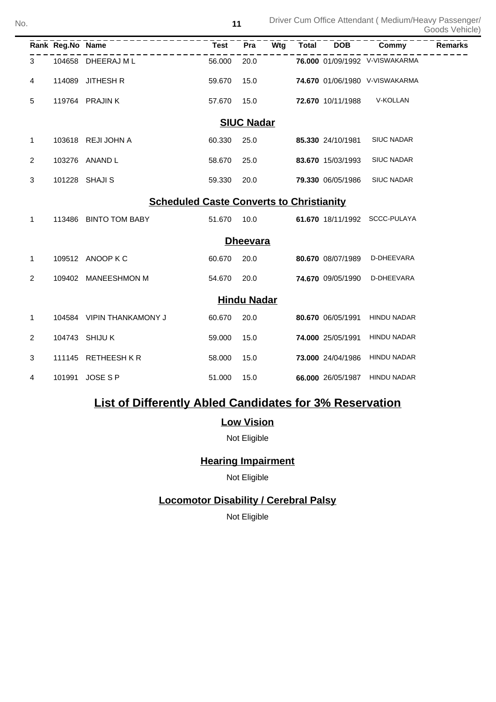|                                                 | Rank Reg.No Name |                           | <b>Test</b> | Pra                | Wtg | <b>Total</b> | <b>DOB</b>        | Commy                          | <b>Remarks</b> |  |
|-------------------------------------------------|------------------|---------------------------|-------------|--------------------|-----|--------------|-------------------|--------------------------------|----------------|--|
| 3                                               |                  | 104658 DHEERAJ ML         | 56.000      | 20.0               |     |              |                   | 76.000 01/09/1992 V-VISWAKARMA |                |  |
| 4                                               | 114089           | <b>JITHESH R</b>          | 59.670      | 15.0               |     |              |                   | 74.670 01/06/1980 V-VISWAKARMA |                |  |
| 5                                               |                  | 119764 PRAJIN K           | 57.670      | 15.0               |     |              | 72.670 10/11/1988 | V-KOLLAN                       |                |  |
|                                                 |                  |                           |             | <b>SIUC Nadar</b>  |     |              |                   |                                |                |  |
| 1                                               |                  | 103618 REJI JOHN A        | 60.330      | 25.0               |     |              | 85.330 24/10/1981 | <b>SIUC NADAR</b>              |                |  |
| 2                                               |                  | 103276 ANAND L            | 58.670      | 25.0               |     |              | 83.670 15/03/1993 | <b>SIUC NADAR</b>              |                |  |
| 3                                               |                  | 101228 SHAJI S            | 59.330      | 20.0               |     |              | 79.330 06/05/1986 | <b>SIUC NADAR</b>              |                |  |
| <b>Scheduled Caste Converts to Christianity</b> |                  |                           |             |                    |     |              |                   |                                |                |  |
| 1                                               |                  | 113486 BINTO TOM BABY     | 51.670      | 10.0               |     |              | 61.670 18/11/1992 | SCCC-PULAYA                    |                |  |
|                                                 |                  |                           |             | <b>Dheevara</b>    |     |              |                   |                                |                |  |
| 1                                               |                  | 109512 ANOOP K C          | 60.670      | 20.0               |     |              | 80.670 08/07/1989 | D-DHEEVARA                     |                |  |
| 2                                               | 109402           | <b>MANEESHMON M</b>       | 54.670      | 20.0               |     |              | 74.670 09/05/1990 | D-DHEEVARA                     |                |  |
|                                                 |                  |                           |             | <b>Hindu Nadar</b> |     |              |                   |                                |                |  |
| 1                                               |                  | 104584 VIPIN THANKAMONY J | 60.670      | 20.0               |     |              | 80.670 06/05/1991 | <b>HINDU NADAR</b>             |                |  |
| $\overline{2}$                                  |                  | 104743 SHIJU K            | 59.000      | 15.0               |     |              | 74.000 25/05/1991 | <b>HINDU NADAR</b>             |                |  |
| 3                                               |                  | 111145 RETHEESH KR        | 58.000      | 15.0               |     |              | 73.000 24/04/1986 | <b>HINDU NADAR</b>             |                |  |
| 4                                               | 101991           | <b>JOSE S P</b>           | 51.000      | 15.0               |     |              | 66.000 26/05/1987 | <b>HINDU NADAR</b>             |                |  |

# **List of Differently Abled Candidates for 3% Reservation**

## **Low Vision**

Not Eligible

## **Hearing Impairment**

Not Eligible

## **Locomotor Disability / Cerebral Palsy**

Not Eligible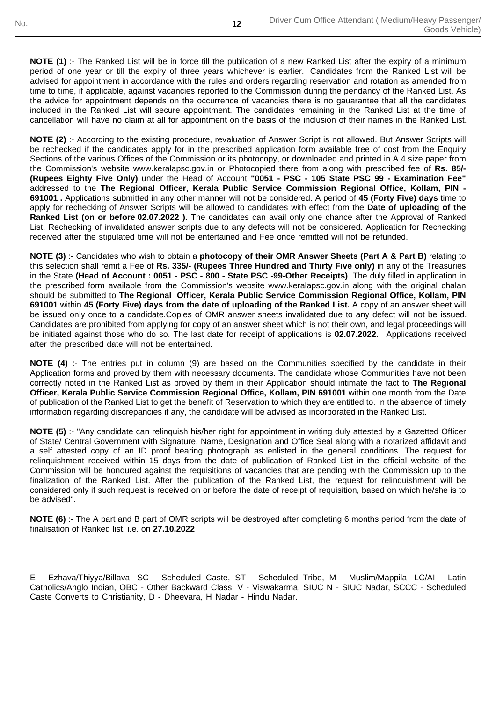**NOTE (1)** :- The Ranked List will be in force till the publication of a new Ranked List after the expiry of a minimum period of one year or till the expiry of three years whichever is earlier. Candidates from the Ranked List will be advised for appointment in accordance with the rules and orders regarding reservation and rotation as amended from time to time, if applicable, against vacancies reported to the Commission during the pendancy of the Ranked List. As the advice for appointment depends on the occurrence of vacancies there is no gauarantee that all the candidates included in the Ranked List will secure appointment. The candidates remaining in the Ranked List at the time of cancellation will have no claim at all for appointment on the basis of the inclusion of their names in the Ranked List.

**NOTE (2)** :- According to the existing procedure, revaluation of Answer Script is not allowed. But Answer Scripts will be rechecked if the candidates apply for in the prescribed application form available free of cost from the Enquiry Sections of the various Offices of the Commission or its photocopy, or downloaded and printed in A 4 size paper from the Commission's website www.keralapsc.gov.in or Photocopied there from along with prescribed fee of **Rs. 85/- (Rupees Eighty Five Only)** under the Head of Account **"0051 - PSC - 105 State PSC 99 - Examination Fee"** addressed to the **The Regional Officer, Kerala Public Service Commission Regional Office, Kollam, PIN - 691001 .** Applications submitted in any other manner will not be considered. A period of **45 (Forty Five) days** time to apply for rechecking of Answer Scripts will be allowed to candidates with effect from the **Date of uploading of the Ranked List (on or before 02.07.2022 ).** The candidates can avail only one chance after the Approval of Ranked List. Rechecking of invalidated answer scripts due to any defects will not be considered. Application for Rechecking received after the stipulated time will not be entertained and Fee once remitted will not be refunded.

**NOTE (3)** :- Candidates who wish to obtain a **photocopy of their OMR Answer Sheets (Part A & Part B)** relating to this selection shall remit a Fee of **Rs. 335/- (Rupees Three Hundred and Thirty Five only)** in any of the Treasuries in the State **(Head of Account : 0051 - PSC - 800 - State PSC -99-Other Receipts)**. The duly filled in application in the prescribed form available from the Commission's website www.keralapsc.gov.in along with the original chalan should be submitted to **The Regional Officer, Kerala Public Service Commission Regional Office, Kollam, PIN 691001** within **45 (Forty Five) days from the date of uploading of the Ranked List.** A copy of an answer sheet will be issued only once to a candidate.Copies of OMR answer sheets invalidated due to any defect will not be issued. Candidates are prohibited from applying for copy of an answer sheet which is not their own, and legal proceedings will be initiated against those who do so. The last date for receipt of applications is **02.07.2022.** Applications received after the prescribed date will not be entertained.

**NOTE (4)** :- The entries put in column (9) are based on the Communities specified by the candidate in their Application forms and proved by them with necessary documents. The candidate whose Communities have not been correctly noted in the Ranked List as proved by them in their Application should intimate the fact to **The Regional Officer, Kerala Public Service Commission Regional Office, Kollam, PIN 691001** within one month from the Date of publication of the Ranked List to get the benefit of Reservation to which they are entitled to. In the absence of timely information regarding discrepancies if any, the candidate will be advised as incorporated in the Ranked List.

**NOTE (5)** :- "Any candidate can relinquish his/her right for appointment in writing duly attested by a Gazetted Officer of State/ Central Government with Signature, Name, Designation and Office Seal along with a notarized affidavit and a self attested copy of an ID proof bearing photograph as enlisted in the general conditions. The request for relinquishment received within 15 days from the date of publication of Ranked List in the official website of the Commission will be honoured against the requisitions of vacancies that are pending with the Commission up to the finalization of the Ranked List. After the publication of the Ranked List, the request for relinquishment will be considered only if such request is received on or before the date of receipt of requisition, based on which he/she is to be advised".

**NOTE (6)** :- The A part and B part of OMR scripts will be destroyed after completing 6 months period from the date of finalisation of Ranked list, i.e. on **27.10.2022**

E - Ezhava/Thiyya/Billava, SC - Scheduled Caste, ST - Scheduled Tribe, M - Muslim/Mappila, LC/AI - Latin Catholics/Anglo Indian, OBC - Other Backward Class, V - Viswakarma, SIUC N - SIUC Nadar, SCCC - Scheduled Caste Converts to Christianity, D - Dheevara, H Nadar - Hindu Nadar.